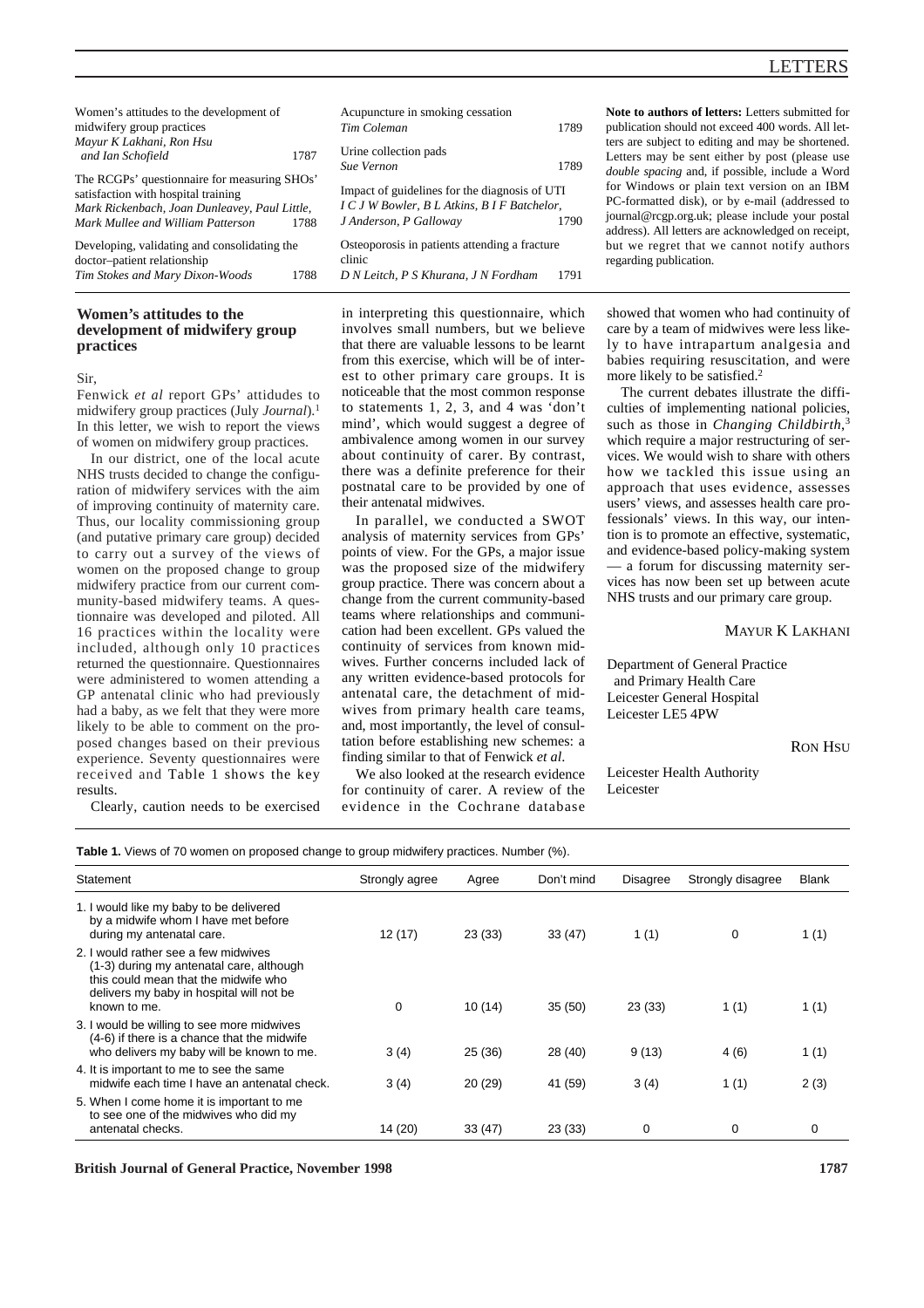# LETTERS

| Women's attitudes to the development of                                                                                                                                           | Acupuncture in smoking cessation                                                                                                |
|-----------------------------------------------------------------------------------------------------------------------------------------------------------------------------------|---------------------------------------------------------------------------------------------------------------------------------|
| midwifery group practices                                                                                                                                                         | 1789<br>Tim Coleman                                                                                                             |
| Mayur K Lakhani, Ron Hsu<br>1787<br>and Ian Schofield                                                                                                                             | Urine collection pads<br>1789<br>Sue Vernon                                                                                     |
| The RCGPs' questionnaire for measuring SHOs'<br>satisfaction with hospital training<br>Mark Rickenbach, Joan Dunleavey, Paul Little,<br>Mark Mullee and William Patterson<br>1788 | Impact of guidelines for the diagnosis of UTI<br>I C J W Bowler, B L Atkins, B I F Batchelor,<br>J Anderson, P Galloway<br>1790 |
| Developing, validating and consolidating the<br>doctor-patient relationship<br>Tim Stokes and Mary Dixon-Woods<br>1788                                                            | Osteoporosis in patients attending a fracture<br>clinic<br>D N Leitch, P S Khurana, J N Fordham<br>1791                         |

# **Women's attitudes to the development of midwifery group practices**

Sir,

Fenwick *et al* report GPs' attidudes to midwifery group practices (July *Journal*).1 In this letter, we wish to report the views of women on midwifery group practices.

In our district, one of the local acute NHS trusts decided to change the configuration of midwifery services with the aim of improving continuity of maternity care. Thus, our locality commissioning group (and putative primary care group) decided to carry out a survey of the views of women on the proposed change to group midwifery practice from our current community-based midwifery teams. A questionnaire was developed and piloted. All 16 practices within the locality were included, although only 10 practices returned the questionnaire. Questionnaires were administered to women attending a GP antenatal clinic who had previously had a baby, as we felt that they were more likely to be able to comment on the proposed changes based on their previous experience. Seventy questionnaires were received and Table 1 shows the key results.

Clearly, caution needs to be exercised

in interpreting this questionnaire, which involves small numbers, but we believe that there are valuable lessons to be learnt from this exercise, which will be of interest to other primary care groups. It is noticeable that the most common response to statements 1, 2, 3, and 4 was 'don't mind', which would suggest a degree of ambivalence among women in our survey about continuity of carer. By contrast, there was a definite preference for their postnatal care to be provided by one of their antenatal midwives.

In parallel, we conducted a SWOT analysis of maternity services from GPs' points of view. For the GPs, a major issue was the proposed size of the midwifery group practice. There was concern about a change from the current community-based teams where relationships and communication had been excellent. GPs valued the continuity of services from known midwives. Further concerns included lack of any written evidence-based protocols for antenatal care, the detachment of midwives from primary health care teams, and, most importantly, the level of consultation before establishing new schemes: a finding similar to that of Fenwick *et al*.

We also looked at the research evidence for continuity of carer. A review of the evidence in the Cochrane database **Note to authors of letters:** Letters submitted for publication should not exceed 400 words. All letters are subject to editing and may be shortened. Letters may be sent either by post (please use *double spacing* and, if possible, include a Word for Windows or plain text version on an IBM PC-formatted disk), or by e-mail (addressed to journal@rcgp.org.uk; please include your postal address). All letters are acknowledged on receipt, but we regret that we cannot notify authors regarding publication.

showed that women who had continuity of care by a team of midwives were less likely to have intrapartum analgesia and babies requiring resuscitation, and were more likely to be satisfied.<sup>2</sup>

The current debates illustrate the difficulties of implementing national policies, such as those in *Changing Childbirth*, 3 which require a major restructuring of services. We would wish to share with others how we tackled this issue using an approach that uses evidence, assesses users' views, and assesses health care professionals' views. In this way, our intention is to promote an effective, systematic, and evidence-based policy-making system — a forum for discussing maternity services has now been set up between acute NHS trusts and our primary care group.

### MAYUR K LAKHANI

Department of General Practice and Primary Health Care Leicester General Hospital Leicester LE5 4PW

**RON HSU** 

Leicester Health Authority Leicester

**Table 1.** Views of 70 women on proposed change to group midwifery practices. Number (%).

| Statement                                                                                                                                                                            | Strongly agree | Agree   | Don't mind | Disagree | Strongly disagree | <b>Blank</b> |
|--------------------------------------------------------------------------------------------------------------------------------------------------------------------------------------|----------------|---------|------------|----------|-------------------|--------------|
| 1. I would like my baby to be delivered<br>by a midwife whom I have met before<br>during my antenatal care.                                                                          | 12(17)         | 23(33)  | 33(47)     | 1(1)     | 0                 | 1(1)         |
| 2. I would rather see a few midwives<br>(1-3) during my antenatal care, although<br>this could mean that the midwife who<br>delivers my baby in hospital will not be<br>known to me. | $\Omega$       | 10(14)  | 35(50)     | 23(33)   | 1(1)              | 1(1)         |
| 3. I would be willing to see more midwives<br>(4-6) if there is a chance that the midwife<br>who delivers my baby will be known to me.                                               | 3(4)           | 25 (36) | 28 (40)    | 9(13)    | 4(6)              | 1(1)         |
| 4. It is important to me to see the same<br>midwife each time I have an antenatal check.                                                                                             | 3(4)           | 20(29)  | 41 (59)    | 3(4)     | 1(1)              | 2(3)         |
| 5. When I come home it is important to me<br>to see one of the midwives who did my<br>antenatal checks.                                                                              | 14 (20)        | 33(47)  | 23(33)     | 0        | $\Omega$          | 0            |

**British Journal of General Practice, November 1998 1787**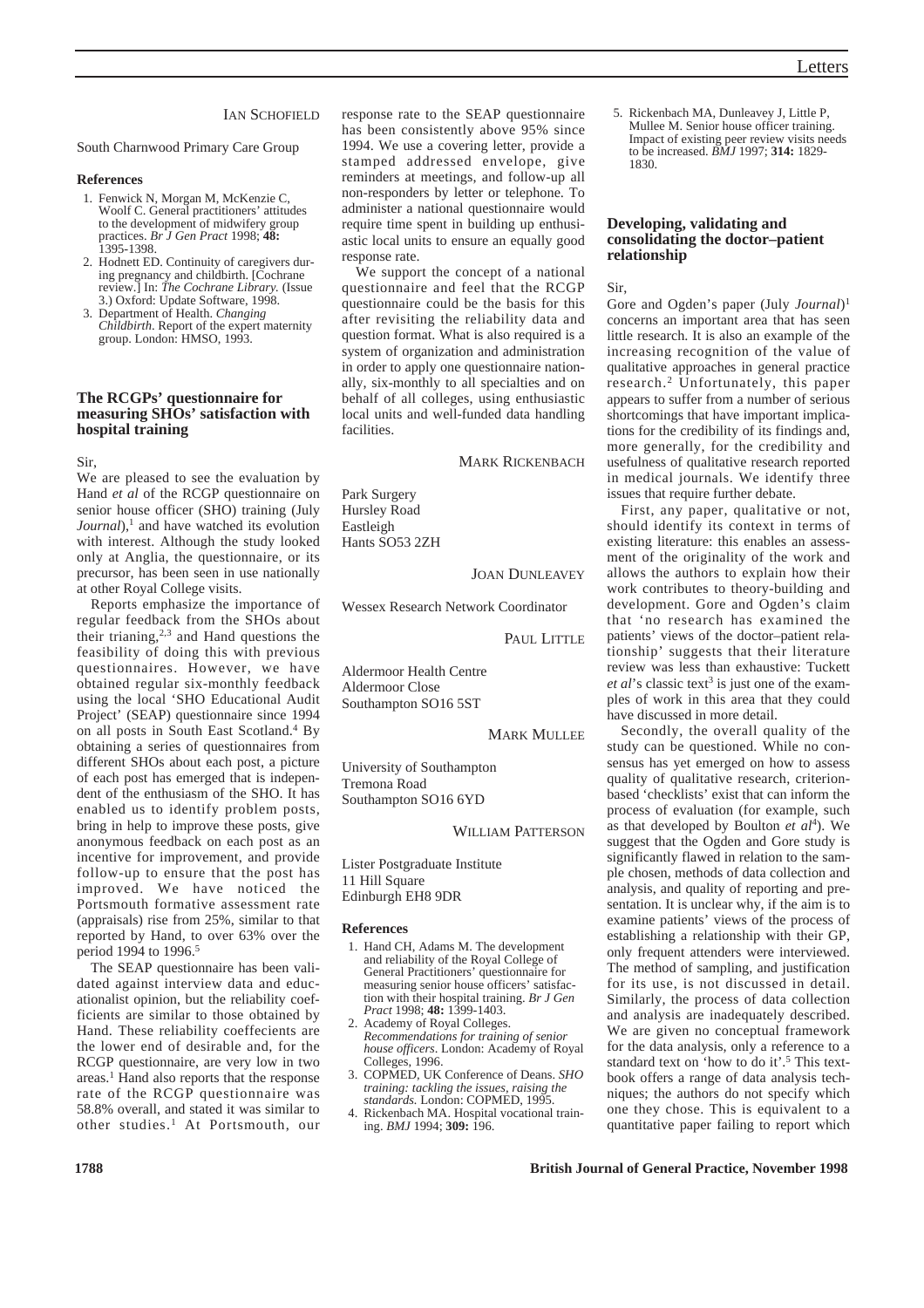### **IAN SCHOFIELD**

South Charnwood Primary Care Group

### **References**

- 1. Fenwick N, Morgan M, McKenzie C, Woolf C. General practitioners' attitudes to the development of midwifery group practices. *Br J Gen Pract* 1998; **48:** 1395-1398.
- 2. Hodnett ED. Continuity of caregivers during pregnancy and childbirth. [Cochrane review.] In: *The Cochrane Library.* (Issue 3.) Oxford: Update Software, 1998.
- 3. Department of Health. *Changing Childbirth*. Report of the expert maternity group. London: HMSO, 1993.

### **The RCGPs' questionnaire for measuring SHOs' satisfaction with hospital training**

Sir,

We are pleased to see the evaluation by Hand *et al* of the RCGP questionnaire on senior house officer (SHO) training (July *Journal*),<sup>1</sup> and have watched its evolution with interest. Although the study looked only at Anglia, the questionnaire, or its precursor, has been seen in use nationally at other Royal College visits.

Reports emphasize the importance of regular feedback from the SHOs about their trianing, $2,3$  and Hand questions the feasibility of doing this with previous questionnaires. However, we have obtained regular six-monthly feedback using the local 'SHO Educational Audit Project' (SEAP) questionnaire since 1994 on all posts in South East Scotland.4 By obtaining a series of questionnaires from different SHOs about each post, a picture of each post has emerged that is independent of the enthusiasm of the SHO. It has enabled us to identify problem posts, bring in help to improve these posts, give anonymous feedback on each post as an incentive for improvement, and provide follow-up to ensure that the post has improved. We have noticed the Portsmouth formative assessment rate (appraisals) rise from 25%, similar to that reported by Hand, to over 63% over the period 1994 to 1996.<sup>5</sup>

The SEAP questionnaire has been validated against interview data and educationalist opinion, but the reliability coefficients are similar to those obtained by Hand. These reliability coeffecients are the lower end of desirable and, for the RCGP questionnaire, are very low in two areas.1 Hand also reports that the response rate of the RCGP questionnaire was 58.8% overall, and stated it was similar to other studies.1 At Portsmouth, our response rate to the SEAP questionnaire has been consistently above 95% since 1994. We use a covering letter, provide a stamped addressed envelope, give reminders at meetings, and follow-up all non-responders by letter or telephone. To administer a national questionnaire would require time spent in building up enthusiastic local units to ensure an equally good response rate.

We support the concept of a national questionnaire and feel that the RCGP questionnaire could be the basis for this after revisiting the reliability data and question format. What is also required is a system of organization and administration in order to apply one questionnaire nationally, six-monthly to all specialties and on behalf of all colleges, using enthusiastic local units and well-funded data handling **facilities** 

MARK RICKENBACH

Park Surgery Hursley Road Eastleigh Hants SO53 2ZH

**JOAN DUNLEAVEY** 

Wessex Research Network Coordinator

PAUL LITTLE

Aldermoor Health Centre Aldermoor Close Southampton SO16 5ST

MARK MULLEE

University of Southampton Tremona Road Southampton SO16 6YD

WILLIAM PATTERSON

- Lister Postgraduate Institute 11 Hill Square
- Edinburgh EH8 9DR

#### **References**

- 1. Hand CH, Adams M. The development and reliability of the Royal College of General Practitioners' questionnaire for measuring senior house officers' satisfaction with their hospital training. *Br J Gen Pract* 1998; **48:** 1399-1403.
- 2. Academy of Royal Colleges. *Recommendations for training of senior house officers*. London: Academy of Royal Colleges, 1996.
- 3. COPMED, UK Conference of Deans. *SHO training: tackling the issues, raising the standards.* London: COPMED, 1995.
- 4. Rickenbach MA. Hospital vocational training. *BMJ* 1994; **309:** 196.

5. Rickenbach MA, Dunleavey J, Little P, Mullee M. Senior house officer training. Impact of existing peer review visits needs to be increased. *BMJ* 1997; **314:** 1829- 1830.

#### **Developing, validating and consolidating the doctor–patient relationship**

Sir,

Gore and Ogden's paper (July *Journal*)1 concerns an important area that has seen little research. It is also an example of the increasing recognition of the value of qualitative approaches in general practice research.2 Unfortunately, this paper appears to suffer from a number of serious shortcomings that have important implications for the credibility of its findings and, more generally, for the credibility and usefulness of qualitative research reported in medical journals. We identify three issues that require further debate.

First, any paper, qualitative or not, should identify its context in terms of existing literature: this enables an assessment of the originality of the work and allows the authors to explain how their work contributes to theory-building and development. Gore and Ogden's claim that 'no research has examined the patients' views of the doctor–patient relationship' suggests that their literature review was less than exhaustive: Tuckett *et al's* classic text<sup>3</sup> is just one of the examples of work in this area that they could have discussed in more detail.

Secondly, the overall quality of the study can be questioned. While no consensus has yet emerged on how to assess quality of qualitative research, criterionbased 'checklists' exist that can inform the process of evaluation (for example, such as that developed by Boulton *et al*4). We suggest that the Ogden and Gore study is significantly flawed in relation to the sample chosen, methods of data collection and analysis, and quality of reporting and presentation. It is unclear why, if the aim is to examine patients' views of the process of establishing a relationship with their GP, only frequent attenders were interviewed. The method of sampling, and justification for its use, is not discussed in detail. Similarly, the process of data collection and analysis are inadequately described. We are given no conceptual framework for the data analysis, only a reference to a standard text on 'how to do it'.5 This textbook offers a range of data analysis techniques; the authors do not specify which one they chose. This is equivalent to a quantitative paper failing to report which

**1788 British Journal of General Practice, November 1998**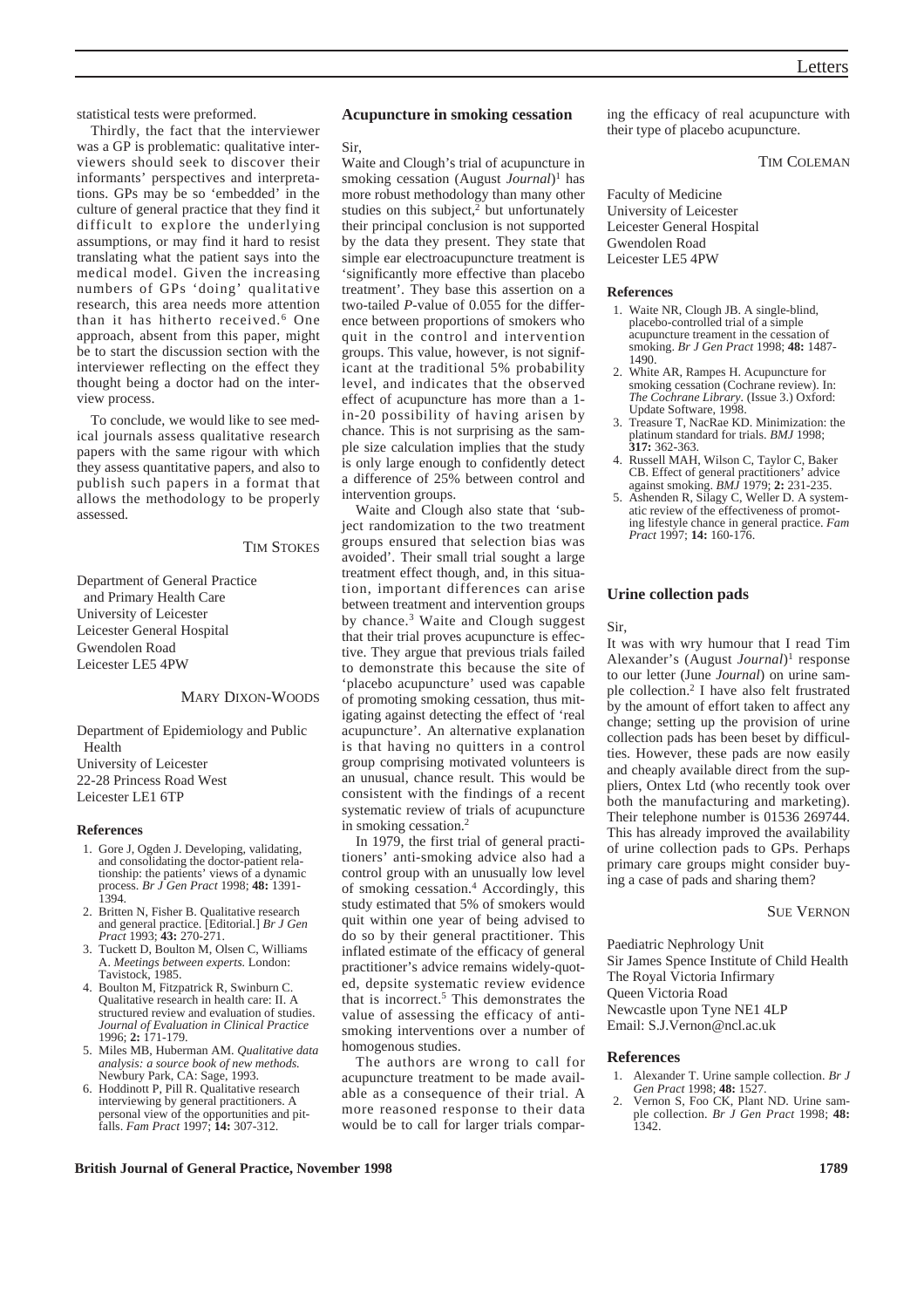statistical tests were preformed.

Thirdly, the fact that the interviewer was a GP is problematic: qualitative interviewers should seek to discover their informants' perspectives and interpretations. GPs may be so 'embedded' in the culture of general practice that they find it difficult to explore the underlying assumptions, or may find it hard to resist translating what the patient says into the medical model. Given the increasing numbers of GPs 'doing' qualitative research, this area needs more attention than it has hitherto received.<sup>6</sup> One approach, absent from this paper, might be to start the discussion section with the interviewer reflecting on the effect they thought being a doctor had on the interview process.

To conclude, we would like to see medical journals assess qualitative research papers with the same rigour with which they assess quantitative papers, and also to publish such papers in a format that allows the methodology to be properly assessed.

TIM STOKES

Department of General Practice and Primary Health Care University of Leicester Leicester General Hospital Gwendolen Road Leicester LE5 4PW

#### MARY DIXON-WOODS

Department of Epidemiology and Public Health University of Leicester 22-28 Princess Road West Leicester LE1 6TP

#### **References**

- 1. Gore J, Ogden J. Developing, validating, and consolidating the doctor-patient relationship: the patients' views of a dynamic process. *Br J Gen Pract* 1998; **48:** 1391-  $1394.$
- 2. Britten N, Fisher B. Qualitative research and general practice. [Editorial.] *Br J Gen Pract* 1993; **43:** 270-271.
- 3. Tuckett D, Boulton M, Olsen C, Williams A. *Meetings between experts.* London: Tavistock, 1985.
- 4. Boulton M, Fitzpatrick R, Swinburn C. Qualitative research in health care: II. A structured review and evaluation of studies. *Journal of Evaluation in Clinical Practice* 1996; **2:** 171-179.
- 5. Miles MB, Huberman AM. *Qualitative data analysis: a source book of new methods.* Newbury Park, CA: Sage, 1993.
- 6. Hoddinott P, Pill R. Qualitative research interviewing by general practitioners. A personal view of the opportunities and pitfalls. *Fam Pract* 1997; **14:** 307-312.

#### **Acupuncture in smoking cessation**

Sir,

Waite and Clough's trial of acupuncture in smoking cessation (August *Journal*)<sup>1</sup> has more robust methodology than many other studies on this subject, $\frac{2}{3}$  but unfortunately their principal conclusion is not supported by the data they present. They state that simple ear electroacupuncture treatment is 'significantly more effective than placebo treatment'. They base this assertion on a two-tailed *P*-value of 0.055 for the difference between proportions of smokers who quit in the control and intervention groups. This value, however, is not significant at the traditional 5% probability level, and indicates that the observed effect of acupuncture has more than a 1 in-20 possibility of having arisen by chance. This is not surprising as the sample size calculation implies that the study is only large enough to confidently detect a difference of 25% between control and intervention groups.

Waite and Clough also state that 'subject randomization to the two treatment groups ensured that selection bias was avoided'. Their small trial sought a large treatment effect though, and, in this situation, important differences can arise between treatment and intervention groups by chance.<sup>3</sup> Waite and Clough suggest that their trial proves acupuncture is effective. They argue that previous trials failed to demonstrate this because the site of 'placebo acupuncture' used was capable of promoting smoking cessation, thus mitigating against detecting the effect of 'real acupuncture'. An alternative explanation is that having no quitters in a control group comprising motivated volunteers is an unusual, chance result. This would be consistent with the findings of a recent systematic review of trials of acupuncture in smoking cessation.2

In 1979, the first trial of general practitioners' anti-smoking advice also had a control group with an unusually low level of smoking cessation.4 Accordingly, this study estimated that 5% of smokers would quit within one year of being advised to do so by their general practitioner. This inflated estimate of the efficacy of general practitioner's advice remains widely-quoted, depsite systematic review evidence that is incorrect.<sup>5</sup> This demonstrates the value of assessing the efficacy of antismoking interventions over a number of homogenous studies.

The authors are wrong to call for acupuncture treatment to be made available as a consequence of their trial. A more reasoned response to their data would be to call for larger trials comparing the efficacy of real acupuncture with their type of placebo acupuncture.

### TIM COLEMAN

Faculty of Medicine University of Leicester Leicester General Hospital Gwendolen Road Leicester LE5 4PW

#### **References**

- 1. Waite NR, Clough JB. A single-blind, placebo-controlled trial of a simple acupuncture treament in the cessation of smoking. *Br J Gen Pract* 1998; **48:** 1487- 1490.
- 2. White AR, Rampes H. Acupuncture for smoking cessation (Cochrane review). In: *The Cochrane Library.* (Issue 3.) Oxford: Update Software, 1998.
- 3. Treasure T, NacRae KD. Minimization: the platinum standard for trials. *BMJ* 1998; **317:** 362-363.
- 4. Russell MAH, Wilson C, Taylor C, Baker CB. Effect of general practitioners' advice against smoking. *BMJ* 1979; **2:** 231-235.
- 5. Ashenden R, Silagy C, Weller D. A systematic review of the effectiveness of promoting lifestyle chance in general practice. *Fam Pract* 1997; **14:** 160-176.

#### **Urine collection pads**

Sir,

It was with wry humour that I read Tim Alexander's (August *Journal*)1 response to our letter (June *Journal*) on urine sample collection.2 I have also felt frustrated by the amount of effort taken to affect any change; setting up the provision of urine collection pads has been beset by difficulties. However, these pads are now easily and cheaply available direct from the suppliers, Ontex Ltd (who recently took over both the manufacturing and marketing). Their telephone number is 01536 269744. This has already improved the availability of urine collection pads to GPs. Perhaps primary care groups might consider buying a case of pads and sharing them?

#### SUE VERNON

Paediatric Nephrology Unit Sir James Spence Institute of Child Health The Royal Victoria Infirmary Queen Victoria Road Newcastle upon Tyne NE1 4LP

Email: S.J.Vernon@ncl.ac.uk

#### **References**

- 1. Alexander T. Urine sample collection. *Br J Gen Pract* 1998; **48:** 1527.
- 2. Vernon S, Foo CK, Plant ND. Urine sample collection. *Br J Gen Pract* 1998; **48:** 1342.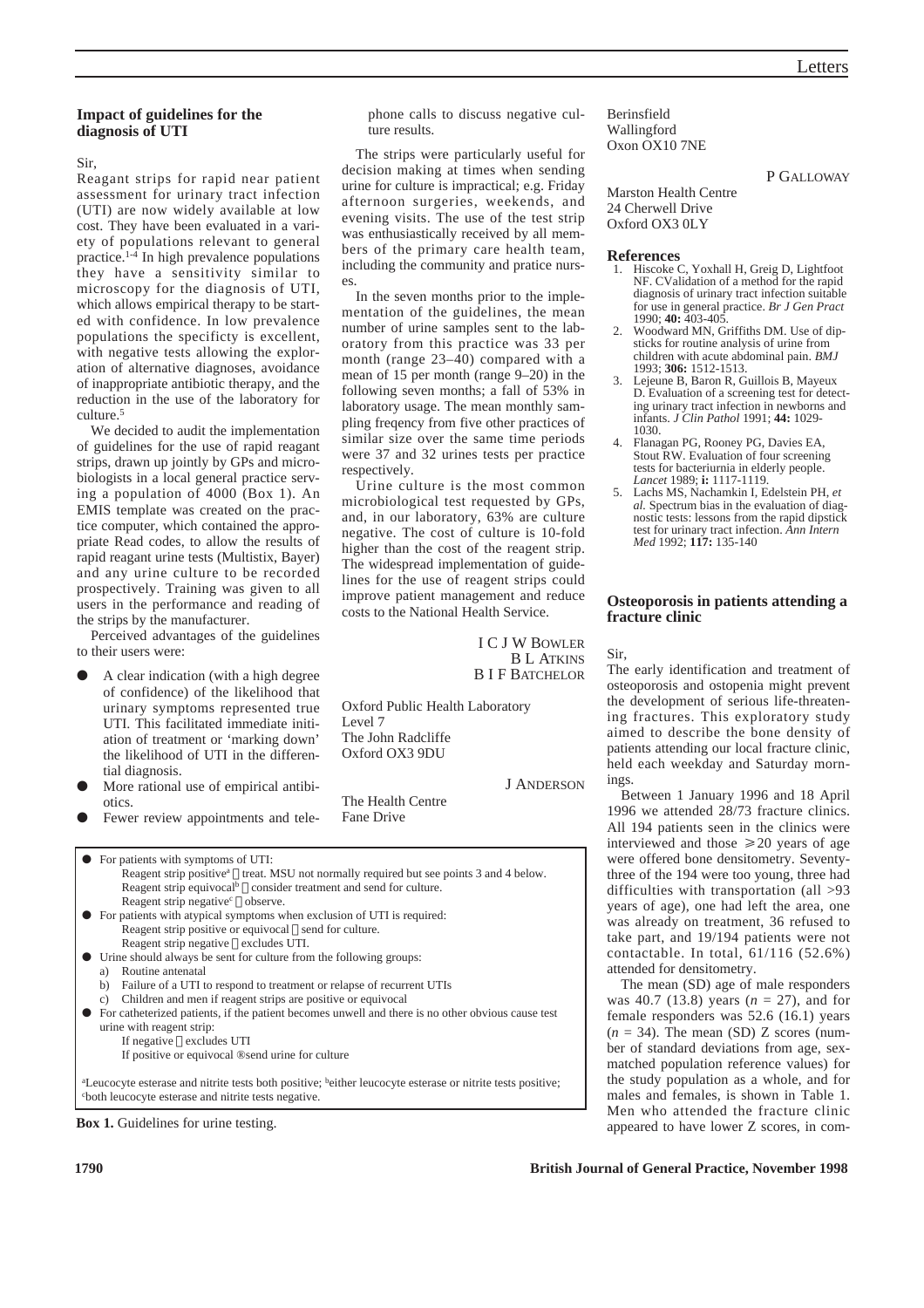P GALLOWAY

## **Impact of guidelines for the diagnosis of UTI**

Sir,

Reagant strips for rapid near patient assessment for urinary tract infection (UTI) are now widely available at low cost. They have been evaluated in a variety of populations relevant to general practice.1-4 In high prevalence populations they have a sensitivity similar to microscopy for the diagnosis of UTI, which allows empirical therapy to be started with confidence. In low prevalence populations the specificty is excellent, with negative tests allowing the exploration of alternative diagnoses, avoidance of inappropriate antibiotic therapy, and the reduction in the use of the laboratory for culture.<sup>5</sup>

We decided to audit the implementation of guidelines for the use of rapid reagant strips, drawn up jointly by GPs and microbiologists in a local general practice serving a population of 4000 (Box 1). An EMIS template was created on the practice computer, which contained the appropriate Read codes, to allow the results of rapid reagant urine tests (Multistix, Bayer) and any urine culture to be recorded prospectively. Training was given to all users in the performance and reading of the strips by the manufacturer.

Perceived advantages of the guidelines to their users were:

- A clear indication (with a high degree of confidence) of the likelihood that urinary symptoms represented true UTI. This facilitated immediate initiation of treatment or 'marking down' the likelihood of UTI in the differential diagnosis.
- More rational use of empirical antibiotics.
- Fewer review appointments and tele-

O For patients with symptoms of UTI: Reagent strip positive<sup>a</sup>  $\Box$  treat. MSU not normally required but see points 3 and 4 below. Reagent strip equivocal<sup>b</sup>  $\Box$  consider treatment and send for culture. Reagent strip negative<sup>c</sup>  $\Box$  observe.

- O For patients with atypical symptoms when exclusion of UTI is required: Reagent strip positive or equivocal  $\Box$  send for culture. Reagent strip negative  $\Box$  excludes UTI.
- O Urine should always be sent for culture from the following groups: Routine antenatal
	- b) Failure of a UTI to respond to treatment or relapse of recurrent UTIs
	- c) Children and men if reagent strips are positive or equivocal
- O For catheterized patients, if the patient becomes unwell and there is no other obvious cause test urine with reagent strip:
	- If negative  $\Box$  excludes UTI If positive or equivocal ®send urine for culture

<sup>a</sup>Leucocyte esterase and nitrite tests both positive; <sup>b</sup>either leucocyte esterase or nitrite tests positive; c both leucocyte esterase and nitrite tests negative.



phone calls to discuss negative culture results.

The strips were particularly useful for decision making at times when sending urine for culture is impractical; e.g. Friday afternoon surgeries, weekends, and evening visits. The use of the test strip was enthusiastically received by all members of the primary care health team, including the community and pratice nurses.

In the seven months prior to the implementation of the guidelines, the mean number of urine samples sent to the laboratory from this practice was 33 per month (range 23–40) compared with a mean of 15 per month (range 9–20) in the following seven months; a fall of 53% in laboratory usage. The mean monthly sampling freqency from five other practices of similar size over the same time periods were 37 and 32 urines tests per practice respectively.

Urine culture is the most common microbiological test requested by GPs, and, in our laboratory, 63% are culture negative. The cost of culture is 10-fold higher than the cost of the reagent strip. The widespread implementation of guidelines for the use of reagent strips could improve patient management and reduce costs to the National Health Service.

> I C J W BOWLER B L ATKINS B I F BATCHELOR

Oxford Public Health Laboratory Level 7 The John Radcliffe Oxford OX3 9DU

The Health Centre Fane Drive

J ANDERSON

Marston Health Centre 24 Cherwell Drive Oxford OX3 0LY

### **References**

Berinsfield Wallingford Oxon OX10 7NE

- 1. Hiscoke C, Yoxhall H, Greig D, Lightfoot NF. CValidation of a method for the rapid diagnosis of urinary tract infection suitable for use in general practice. *Br J Gen Pract* 1990; **40:** 403-405.
- 2. Woodward MN, Griffiths DM. Use of dipsticks for routine analysis of urine from children with acute abdominal pain. *BMJ* 1993; **306:** 1512-1513.
- Lejeune B, Baron R, Guillois B, Mayeux D. Evaluation of a screening test for detecting urinary tract infection in newborns and infants. *J Clin Pathol* 1991; **44:** 1029- 1030.
- 4. Flanagan PG, Rooney PG, Davies EA, Stout RW. Evaluation of four screening tests for bacteriurnia in elderly people. *Lancet* 1989; **i:** 1117-1119.
- 5. Lachs MS, Nachamkin I, Edelstein PH, *et al.* Spectrum bias in the evaluation of diagnostic tests: lessons from the rapid dipstick test for urinary tract infection. *Ann Intern Med* 1992; **117:** 135-140

### **Osteoporosis in patients attending a fracture clinic**

Sir,

The early identification and treatment of osteoporosis and ostopenia might prevent the development of serious life-threatening fractures. This exploratory study aimed to describe the bone density of patients attending our local fracture clinic, held each weekday and Saturday mornings.

Between 1 January 1996 and 18 April 1996 we attended 28/73 fracture clinics. All 194 patients seen in the clinics were interviewed and those  $\geq 20$  years of age were offered bone densitometry. Seventythree of the 194 were too young, three had difficulties with transportation (all >93 years of age), one had left the area, one was already on treatment, 36 refused to take part, and 19/194 patients were not contactable. In total, 61/116 (52.6%) attended for densitometry.

The mean (SD) age of male responders was 40.7 (13.8) years (*n* = 27), and for female responders was 52.6 (16.1) years  $(n = 34)$ . The mean (SD) Z scores (number of standard deviations from age, sexmatched population reference values) for the study population as a whole, and for males and females, is shown in Table 1. Men who attended the fracture clinic appeared to have lower Z scores, in com-

**1790 British Journal of General Practice, November 1998**